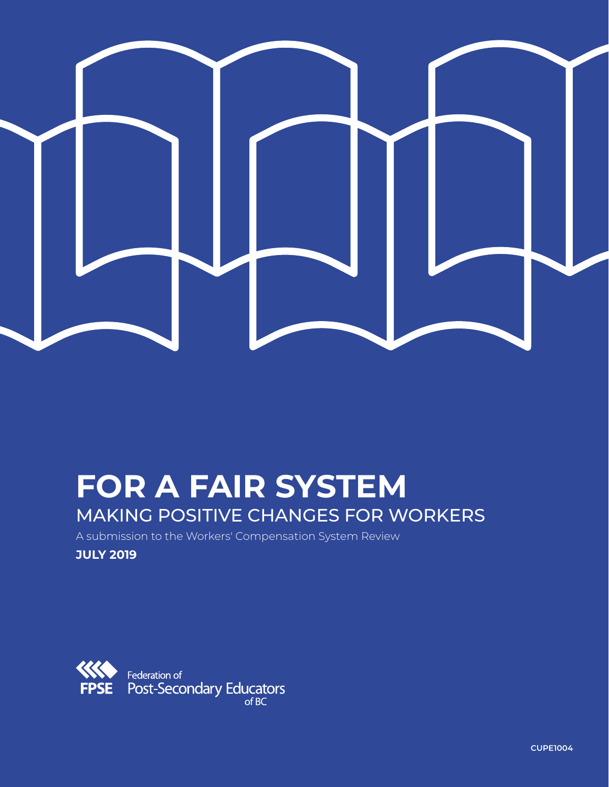

# **FOR A FAIR SYSTEM** MAKING POSITIVE CHANGES FOR WORKERS

A submission to the Workers' Compensation System Review

**JULY 2019**

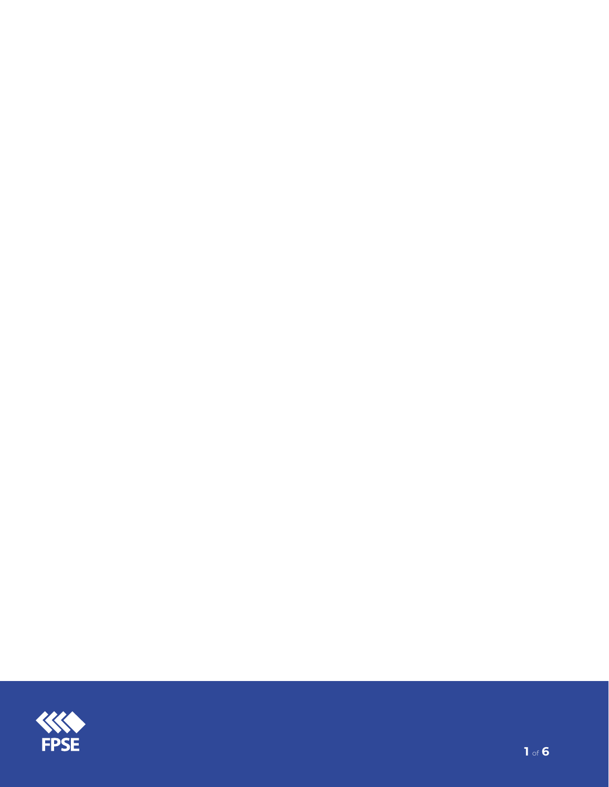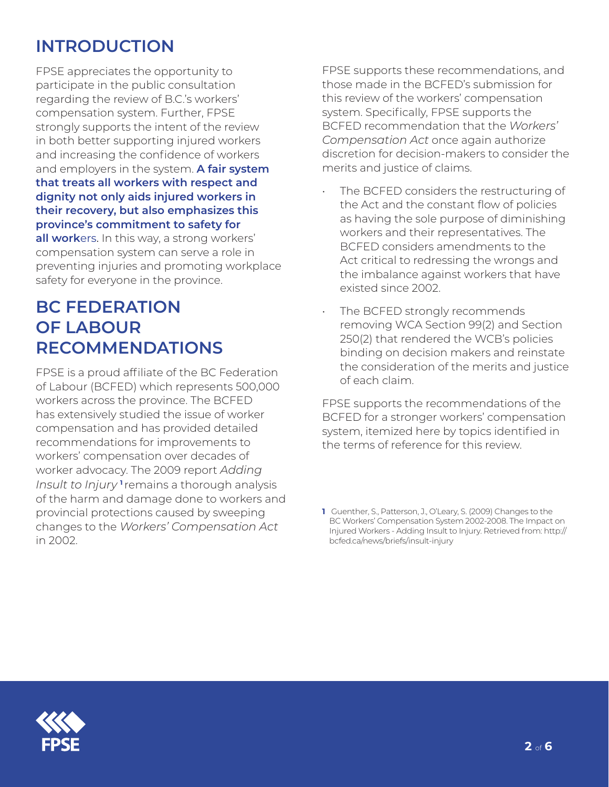## **INTRODUCTION**

FPSE appreciates the opportunity to participate in the public consultation regarding the review of B.C.'s workers' compensation system. Further, FPSE strongly supports the intent of the review in both better supporting injured workers and increasing the confidence of workers and employers in the system. **A fair system that treats all workers with respect and dignity not only aids injured workers in their recovery, but also emphasizes this province's commitment to safety for all work**ers. In this way, a strong workers' compensation system can serve a role in

preventing injuries and promoting workplace safety for everyone in the province.

#### **BC FEDERATION OF LABOUR RECOMMENDATIONS**

FPSE is a proud affiliate of the BC Federation of Labour (BCFED) which represents 500,000 workers across the province. The BCFED has extensively studied the issue of worker compensation and has provided detailed recommendations for improvements to workers' compensation over decades of worker advocacy. The 2009 report *Adding Insult to Injury* **<sup>1</sup>**remains a thorough analysis of the harm and damage done to workers and provincial protections caused by sweeping changes to the *Workers' Compensation Act* in 2002.

FPSE supports these recommendations, and those made in the BCFED's submission for this review of the workers' compensation system. Specifically, FPSE supports the BCFED recommendation that the *Workers' Compensation Act* once again authorize discretion for decision-makers to consider the merits and justice of claims.

- The BCFED considers the restructuring of the Act and the constant flow of policies as having the sole purpose of diminishing workers and their representatives. The BCFED considers amendments to the Act critical to redressing the wrongs and the imbalance against workers that have existed since 2002.
- The BCFED strongly recommends removing WCA Section 99(2) and Section 250(2) that rendered the WCB's policies binding on decision makers and reinstate the consideration of the merits and justice of each claim.

FPSE supports the recommendations of the BCFED for a stronger workers' compensation system, itemized here by topics identified in the terms of reference for this review.

**1** Guenther, S., Patterson, J., O'Leary, S. (2009) Changes to the BC Workers' Compensation System 2002-2008. The Impact on Injured Workers - Adding Insult to Injury. Retrieved from: http:// bcfed.ca/news/briefs/insult-injury

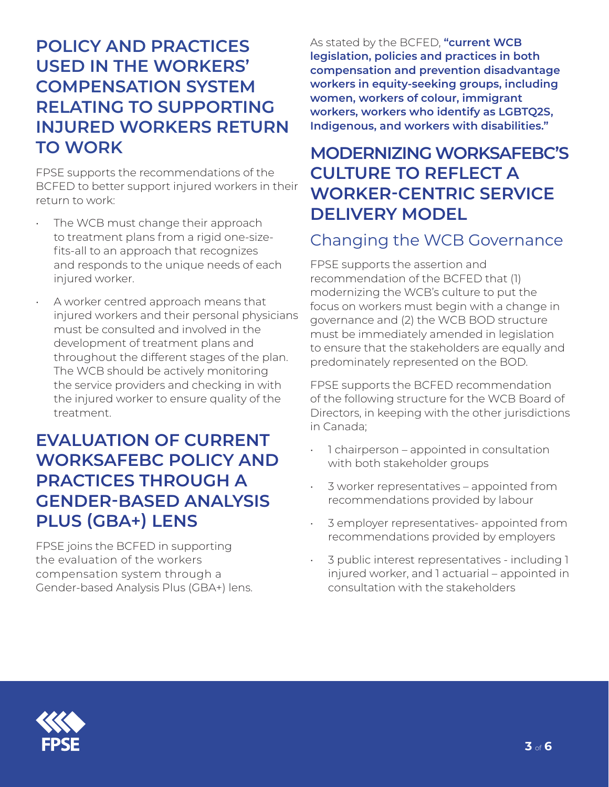#### **POLICY AND PRACTICES USED IN THE WORKERS' COMPENSATION SYSTEM RELATING TO SUPPORTING INJURED WORKERS RETURN TO WORK**

FPSE supports the recommendations of the BCFED to better support injured workers in their return to work:

- The WCB must change their approach to treatment plans from a rigid one-sizefits-all to an approach that recognizes and responds to the unique needs of each injured worker.
- A worker centred approach means that injured workers and their personal physicians must be consulted and involved in the development of treatment plans and throughout the different stages of the plan. The WCB should be actively monitoring the service providers and checking in with the injured worker to ensure quality of the treatment.

### **EVALUATION OF CURRENT WORKSAFEBC POLICY AND PRACTICES THROUGH A GENDER-BASED ANALYSIS PLUS (GBA+) LENS**

FPSE joins the BCFED in supporting the evaluation of the workers compensation system through a Gender-based Analysis Plus (GBA+) lens. As stated by the BCFED, **"current WCB legislation, policies and practices in both compensation and prevention disadvantage workers in equity-seeking groups, including women, workers of colour, immigrant workers, workers who identify as LGBTQ2S, Indigenous, and workers with disabilities."**

### **MODERNIZING WORKSAFEBC'S CULTURE TO REFLECT A WORKER-CENTRIC SERVICE DELIVERY MODEL**

#### Changing the WCB Governance

FPSE supports the assertion and recommendation of the BCFED that (1) modernizing the WCB's culture to put the focus on workers must begin with a change in governance and (2) the WCB BOD structure must be immediately amended in legislation to ensure that the stakeholders are equally and predominately represented on the BOD.

FPSE supports the BCFED recommendation of the following structure for the WCB Board of Directors, in keeping with the other jurisdictions in Canada;

- 1 chairperson appointed in consultation with both stakeholder groups
- 3 worker representatives appointed from recommendations provided by labour
- 3 employer representatives- appointed from recommendations provided by employers
- 3 public interest representatives including 1 injured worker, and 1 actuarial – appointed in consultation with the stakeholders

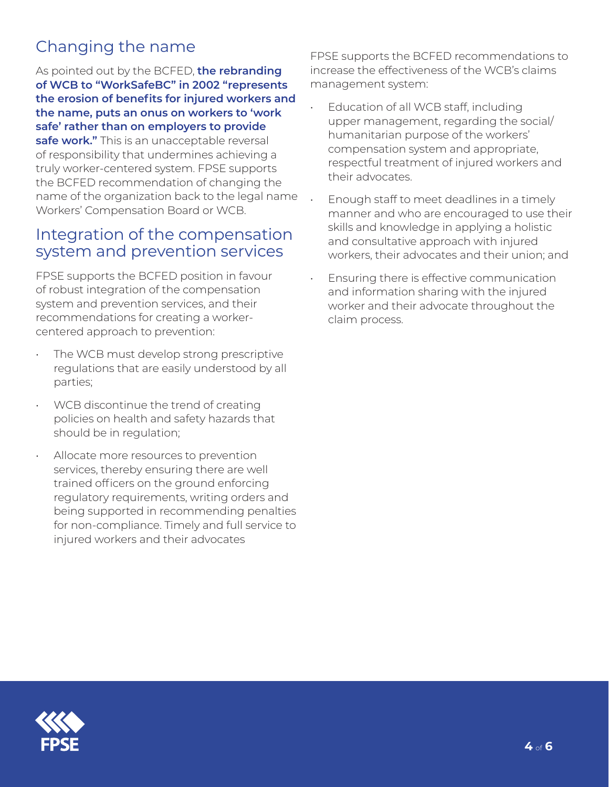## Changing the name

As pointed out by the BCFED, **the rebranding of WCB to "WorkSafeBC" in 2002 "represents the erosion of benefits for injured workers and the name, puts an onus on workers to 'work safe' rather than on employers to provide safe work."** This is an unacceptable reversal of responsibility that undermines achieving a truly worker-centered system. FPSE supports the BCFED recommendation of changing the name of the organization back to the legal name Workers' Compensation Board or WCB.

#### Integration of the compensation system and prevention services

FPSE supports the BCFED position in favour of robust integration of the compensation system and prevention services, and their recommendations for creating a workercentered approach to prevention:

- The WCB must develop strong prescriptive regulations that are easily understood by all parties;
- WCB discontinue the trend of creating policies on health and safety hazards that should be in regulation;
- Allocate more resources to prevention services, thereby ensuring there are well trained officers on the ground enforcing regulatory requirements, writing orders and being supported in recommending penalties for non-compliance. Timely and full service to injured workers and their advocates

FPSE supports the BCFED recommendations to increase the effectiveness of the WCB's claims management system:

- Education of all WCB staff, including upper management, regarding the social/ humanitarian purpose of the workers' compensation system and appropriate, respectful treatment of injured workers and their advocates.
- Enough staff to meet deadlines in a timely manner and who are encouraged to use their skills and knowledge in applying a holistic and consultative approach with injured workers, their advocates and their union; and
- Ensuring there is effective communication and information sharing with the injured worker and their advocate throughout the claim process.

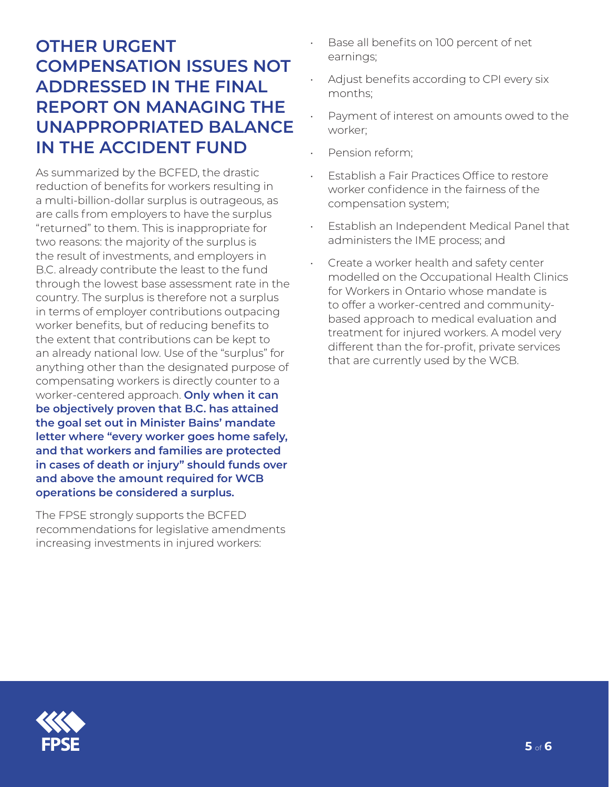#### **OTHER URGENT COMPENSATION ISSUES NOT ADDRESSED IN THE FINAL REPORT ON MANAGING THE UNAPPROPRIATED BALANCE IN THE ACCIDENT FUND**

As summarized by the BCFED, the drastic reduction of benefits for workers resulting in a multi-billion-dollar surplus is outrageous, as are calls from employers to have the surplus "returned" to them. This is inappropriate for two reasons: the majority of the surplus is the result of investments, and employers in B.C. already contribute the least to the fund through the lowest base assessment rate in the country. The surplus is therefore not a surplus in terms of employer contributions outpacing worker benefits, but of reducing benefits to the extent that contributions can be kept to an already national low. Use of the "surplus" for anything other than the designated purpose of compensating workers is directly counter to a worker-centered approach. **Only when it can be objectively proven that B.C. has attained the goal set out in Minister Bains' mandate letter where "every worker goes home safely, and that workers and families are protected in cases of death or injury" should funds over and above the amount required for WCB operations be considered a surplus.**

The FPSE strongly supports the BCFED recommendations for legislative amendments increasing investments in injured workers:

- Base all benefits on 100 percent of net earnings;
- Adjust benefits according to CPI every six months;
- Payment of interest on amounts owed to the worker;
- Pension reform;
- Establish a Fair Practices Office to restore worker confidence in the fairness of the compensation system;
- Establish an Independent Medical Panel that administers the IME process; and
- Create a worker health and safety center modelled on the Occupational Health Clinics for Workers in Ontario whose mandate is to offer a worker-centred and communitybased approach to medical evaluation and treatment for injured workers. A model very different than the for-profit, private services that are currently used by the WCB.

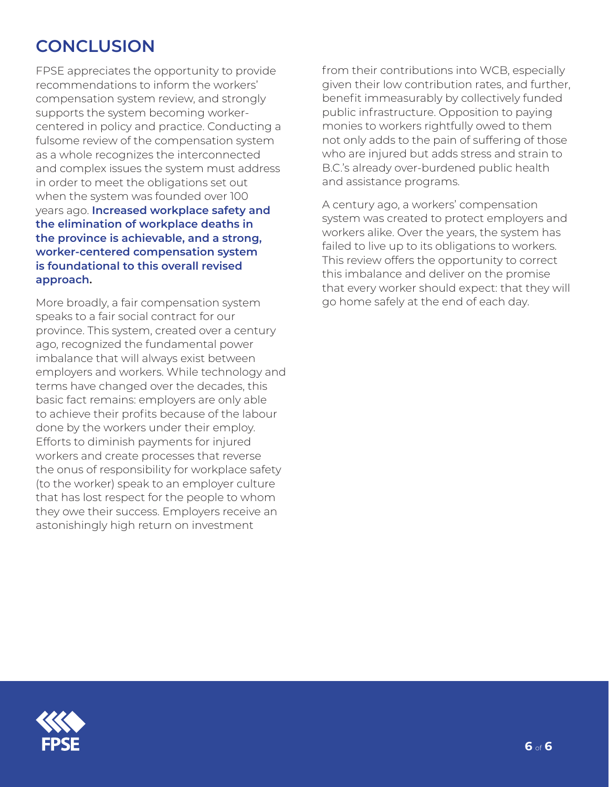## **CONCLUSION**

FPSE appreciates the opportunity to provide recommendations to inform the workers' compensation system review, and strongly supports the system becoming workercentered in policy and practice. Conducting a fulsome review of the compensation system as a whole recognizes the interconnected and complex issues the system must address in order to meet the obligations set out when the system was founded over 100 years ago. **Increased workplace safety and the elimination of workplace deaths in the province is achievable, and a strong, worker-centered compensation system is foundational to this overall revised approach.**

More broadly, a fair compensation system speaks to a fair social contract for our province. This system, created over a century ago, recognized the fundamental power imbalance that will always exist between employers and workers. While technology and terms have changed over the decades, this basic fact remains: employers are only able to achieve their profits because of the labour done by the workers under their employ. Efforts to diminish payments for injured workers and create processes that reverse the onus of responsibility for workplace safety (to the worker) speak to an employer culture that has lost respect for the people to whom they owe their success. Employers receive an astonishingly high return on investment

from their contributions into WCB, especially given their low contribution rates, and further, benefit immeasurably by collectively funded public infrastructure. Opposition to paying monies to workers rightfully owed to them not only adds to the pain of suffering of those who are injured but adds stress and strain to B.C.'s already over-burdened public health and assistance programs.

A century ago, a workers' compensation system was created to protect employers and workers alike. Over the years, the system has failed to live up to its obligations to workers. This review offers the opportunity to correct this imbalance and deliver on the promise that every worker should expect: that they will go home safely at the end of each day.